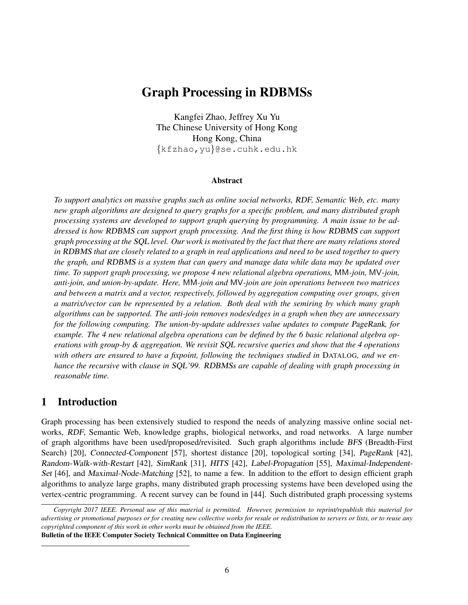# Graph Processing in RDBMSs

Kangfei Zhao, Jeffrey Xu Yu The Chinese University of Hong Kong Hong Kong, China {kfzhao,yu}@se.cuhk.edu.hk

#### Abstract

*To support analytics on massive graphs such as online social networks,* RDF*, Semantic Web, etc. many new graph algorithms are designed to query graphs for a specific problem, and many distributed graph processing systems are developed to support graph querying by programming. A main issue to be addressed is how* RDBMS *can support graph processing. And the first thing is how* RDBMS *can support graph processing at the* SQL *level. Our work is motivated by the fact that there are many relations stored in* RDBMS *that are closely related to a graph in real applications and need to be used together to query the graph, and* RDBMS *is a system that can query and manage data while data may be updated over time. To support graph processing, we propose 4 new relational algebra operations,* MM*-join,* MV*-join, anti-join, and union-by-update. Here,* MM*-join and* MV*-join are join operations between two matrices and between a matrix and a vector, respectively, followed by aggregation computing over groups, given a matrix/vector can be represented by a relation. Both deal with the semiring by which many graph algorithms can be supported. The anti-join removes nodes/edges in a graph when they are unnecessary for the following computing. The union-by-update addresses value updates to compute* PageRank*, for example. The 4 new relational algebra operations can be defined by the 6 basic relational algebra operations with group-by & aggregation. We revisit* SQL *recursive queries and show that the 4 operations with others are ensured to have a fixpoint, following the techniques studied in* DATALOG*, and we enhance the recursive* with *clause in* SQL*'99.* RDBMS*s are capable of dealing with graph processing in reasonable time.*

### 1 Introduction

Graph processing has been extensively studied to respond the needs of analyzing massive online social networks, RDF, Semantic Web, knowledge graphs, biological networks, and road networks. A large number of graph algorithms have been used/proposed/revisited. Such graph algorithms include BFS (Breadth-First Search) [20], Connected-Component [57], shortest distance [20], topological sorting [34], PageRank [42], Random-Walk-with-Restart [42], SimRank [31], HITS [42], Label-Propagation [55], Maximal-Independent-Set [46], and Maximal-Node-Matching [52], to name a few. In addition to the effort to design efficient graph algorithms to analyze large graphs, many distributed graph processing systems have been developed using the vertex-centric programming. A recent survey can be found in [44]. Such distributed graph processing systems

*Copyright 2017 IEEE. Personal use of this material is permitted. However, permission to reprint/republish this material for advertising or promotional purposes or for creating new collective works for resale or redistribution to servers or lists, or to reuse any copyrighted component of this work in other works must be obtained from the IEEE.*

Bulletin of the IEEE Computer Society Technical Committee on Data Engineering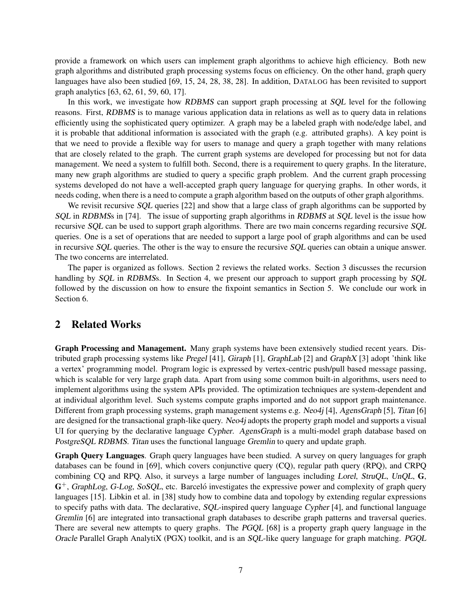provide a framework on which users can implement graph algorithms to achieve high efficiency. Both new graph algorithms and distributed graph processing systems focus on efficiency. On the other hand, graph query languages have also been studied [69, 15, 24, 28, 38, 28]. In addition, DATALOG has been revisited to support graph analytics [63, 62, 61, 59, 60, 17].

In this work, we investigate how RDBMS can support graph processing at SQL level for the following reasons. First, RDBMS is to manage various application data in relations as well as to query data in relations efficiently using the sophisticated query optimizer. A graph may be a labeled graph with node/edge label, and it is probable that additional information is associated with the graph (e.g. attributed graphs). A key point is that we need to provide a flexible way for users to manage and query a graph together with many relations that are closely related to the graph. The current graph systems are developed for processing but not for data management. We need a system to fulfill both. Second, there is a requirement to query graphs. In the literature, many new graph algorithms are studied to query a specific graph problem. And the current graph processing systems developed do not have a well-accepted graph query language for querying graphs. In other words, it needs coding, when there is a need to compute a graph algorithm based on the outputs of other graph algorithms.

We revisit recursive SQL queries [22] and show that a large class of graph algorithms can be supported by SQL in RDBMSs in [74]. The issue of supporting graph algorithms in RDBMS at SQL level is the issue how recursive SQL can be used to support graph algorithms. There are two main concerns regarding recursive SQL queries. One is a set of operations that are needed to support a large pool of graph algorithms and can be used in recursive SQL queries. The other is the way to ensure the recursive SQL queries can obtain a unique answer. The two concerns are interrelated.

The paper is organized as follows. Section 2 reviews the related works. Section 3 discusses the recursion handling by SQL in RDBMSs. In Section 4, we present our approach to support graph processing by SQL followed by the discussion on how to ensure the fixpoint semantics in Section 5. We conclude our work in Section 6.

### 2 Related Works

Graph Processing and Management. Many graph systems have been extensively studied recent years. Distributed graph processing systems like Pregel [41], Giraph [1], GraphLab [2] and GraphX [3] adopt 'think like a vertex' programming model. Program logic is expressed by vertex-centric push/pull based message passing, which is scalable for very large graph data. Apart from using some common built-in algorithms, users need to implement algorithms using the system APIs provided. The optimization techniques are system-dependent and at individual algorithm level. Such systems compute graphs imported and do not support graph maintenance. Different from graph processing systems, graph management systems e.g. Neo4j [4], AgensGraph [5], Titan [6] are designed for the transactional graph-like query. Neo4j adopts the property graph model and supports a visual UI for querying by the declarative language Cypher. AgensGraph is a multi-model graph database based on PostgreSQL RDBMS. Titan uses the functional language Gremlin to query and update graph.

Graph Query Languages. Graph query languages have been studied. A survey on query languages for graph databases can be found in [69], which covers conjunctive query (CQ), regular path query (RPQ), and CRPQ combining CQ and RPQ. Also, it surveys a large number of languages including Lorel, StruQL, UnQL, G,  $G^+$ , GraphLog, G-Log, SoSQL, etc. Barceló investigates the expressive power and complexity of graph query languages [15]. Libkin et al. in [38] study how to combine data and topology by extending regular expressions to specify paths with data. The declarative, SQL-inspired query language Cypher [4], and functional language Gremlin [6] are integrated into transactional graph databases to describe graph patterns and traversal queries. There are several new attempts to query graphs. The PGQL [68] is a property graph query language in the Oracle Parallel Graph AnalytiX (PGX) toolkit, and is an SQL-like query language for graph matching. PGQL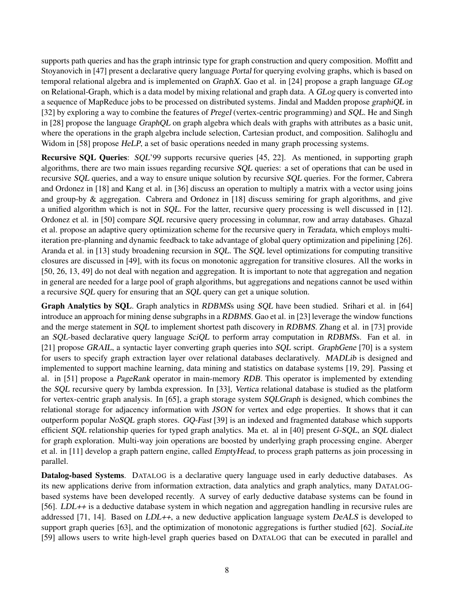supports path queries and has the graph intrinsic type for graph construction and query composition. Moffitt and Stoyanovich in [47] present a declarative query language Portal for querying evolving graphs, which is based on temporal relational algebra and is implemented on GraphX. Gao et al. in [24] propose a graph language GLog on Relational-Graph, which is a data model by mixing relational and graph data. A GLog query is converted into a sequence of MapReduce jobs to be processed on distributed systems. Jindal and Madden propose graphiQL in [32] by exploring a way to combine the features of Pregel (vertex-centric programming) and SQL. He and Singh in [28] propose the language GraphQL on graph algebra which deals with graphs with attributes as a basic unit, where the operations in the graph algebra include selection, Cartesian product, and composition. Salihoglu and Widom in [58] propose HeLP, a set of basic operations needed in many graph processing systems.

Recursive SQL Queries: SQL'99 supports recursive queries [45, 22]. As mentioned, in supporting graph algorithms, there are two main issues regarding recursive SQL queries: a set of operations that can be used in recursive SQL queries, and a way to ensure unique solution by recursive SQL queries. For the former, Cabrera and Ordonez in [18] and Kang et al. in [36] discuss an operation to multiply a matrix with a vector using joins and group-by & aggregation. Cabrera and Ordonez in [18] discuss semiring for graph algorithms, and give a unified algorithm which is not in SQL. For the latter, recursive query processing is well discussed in [12]. Ordonez et al. in [50] compare SQL recursive query processing in columnar, row and array databases. Ghazal et al. propose an adaptive query optimization scheme for the recursive query in Teradata, which employs multiiteration pre-planning and dynamic feedback to take advantage of global query optimization and pipelining [26]. Aranda et al. in [13] study broadening recursion in SQL. The SQL level optimizations for computing transitive closures are discussed in [49], with its focus on monotonic aggregation for transitive closures. All the works in [50, 26, 13, 49] do not deal with negation and aggregation. It is important to note that aggregation and negation in general are needed for a large pool of graph algorithms, but aggregations and negations cannot be used within a recursive SQL query for ensuring that an SQL query can get a unique solution.

Graph Analytics by SQL. Graph analytics in RDBMSs using SQL have been studied. Srihari et al. in [64] introduce an approach for mining dense subgraphs in a RDBMS. Gao et al. in [23] leverage the window functions and the merge statement in SQL to implement shortest path discovery in RDBMS. Zhang et al. in [73] provide an SQL-based declarative query language SciQL to perform array computation in RDBMSs. Fan et al. in [21] propose GRAIL, a syntactic layer converting graph queries into SQL script. GraphGene [70] is a system for users to specify graph extraction layer over relational databases declaratively. MADLib is designed and implemented to support machine learning, data mining and statistics on database systems [19, 29]. Passing et al. in [51] propose a PageRank operator in main-memory RDB. This operator is implemented by extending the SQL recursive query by lambda expression. In [33], Vertica relational database is studied as the platform for vertex-centric graph analysis. In [65], a graph storage system SQLGraph is designed, which combines the relational storage for adjacency information with JSON for vertex and edge properties. It shows that it can outperform popular NoSQL graph stores. GQ-Fast [39] is an indexed and fragmented database which supports efficient SQL relationship queries for typed graph analytics. Ma et. al in [40] present G-SQL, an SQL dialect for graph exploration. Multi-way join operations are boosted by underlying graph processing engine. Aberger et al. in [11] develop a graph pattern engine, called EmptyHead, to process graph patterns as join processing in parallel.

Datalog-based Systems. DATALOG is a declarative query language used in early deductive databases. As its new applications derive from information extraction, data analytics and graph analytics, many DATALOGbased systems have been developed recently. A survey of early deductive database systems can be found in [56]. LDL++ is a deductive database system in which negation and aggregation handling in recursive rules are addressed [71, 14]. Based on LDL++, a new deductive application language system DeALS is developed to support graph queries [63], and the optimization of monotonic aggregations is further studied [62]. SociaLite [59] allows users to write high-level graph queries based on DATALOG that can be executed in parallel and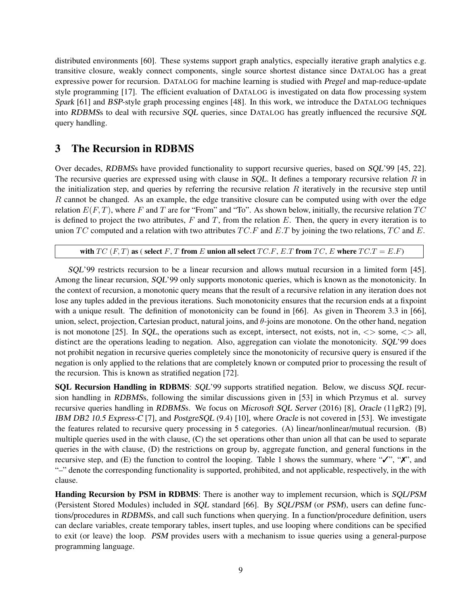distributed environments [60]. These systems support graph analytics, especially iterative graph analytics e.g. transitive closure, weakly connect components, single source shortest distance since DATALOG has a great expressive power for recursion. DATALOG for machine learning is studied with Pregel and map-reduce-update style programming [17]. The efficient evaluation of DATALOG is investigated on data flow processing system Spark [61] and BSP-style graph processing engines [48]. In this work, we introduce the DATALOG techniques into RDBMSs to deal with recursive SQL queries, since DATALOG has greatly influenced the recursive SQL query handling.

## 3 The Recursion in RDBMS

Over decades, RDBMSs have provided functionality to support recursive queries, based on SQL'99 [45, 22]. The recursive queries are expressed using with clause in  $SQL$ . It defines a temporary recursive relation R in the initialization step, and queries by referring the recursive relation  $R$  iteratively in the recursive step until R cannot be changed. As an example, the edge transitive closure can be computed using with over the edge relation  $E(F, T)$ , where F and T are for "From" and "To". As shown below, initially, the recursive relation  $TC$ is defined to project the two attributes,  $F$  and  $T$ , from the relation  $E$ . Then, the query in every iteration is to union TC computed and a relation with two attributes  $TC.F$  and E.T by joining the two relations, TC and E.

with  $TC$  (F, T) as ( select F, T from E union all select  $TC.F$ , E.T from TC, E where  $TC.T = E.F$ )

SQL'99 restricts recursion to be a linear recursion and allows mutual recursion in a limited form [45]. Among the linear recursion, SQL'99 only supports monotonic queries, which is known as the monotonicity. In the context of recursion, a monotonic query means that the result of a recursive relation in any iteration does not lose any tuples added in the previous iterations. Such monotonicity ensures that the recursion ends at a fixpoint with a unique result. The definition of monotonicity can be found in [66]. As given in Theorem 3.3 in [66], union, select, projection, Cartesian product, natural joins, and  $\theta$ -joins are monotone. On the other hand, negation is not monotone [25]. In SQL, the operations such as except, intersect, not exists, not in,  $\langle \rangle$  some,  $\langle \rangle$  all, distinct are the operations leading to negation. Also, aggregation can violate the monotonicity. SQL'99 does not prohibit negation in recursive queries completely since the monotonicity of recursive query is ensured if the negation is only applied to the relations that are completely known or computed prior to processing the result of the recursion. This is known as stratified negation [72].

SQL Recursion Handling in RDBMS: SQL'99 supports stratified negation. Below, we discuss SQL recursion handling in RDBMSs, following the similar discussions given in [53] in which Przymus et al. survey recursive queries handling in RDBMSs. We focus on Microsoft SQL Server (2016) [8], Oracle (11gR2) [9], IBM DB2 10.5 Express-C [7], and PostgreSQL (9.4) [10], where Oracle is not covered in [53]. We investigate the features related to recursive query processing in 5 categories. (A) linear/nonlinear/mutual recursion. (B) multiple queries used in the with clause, (C) the set operations other than union all that can be used to separate queries in the with clause, (D) the restrictions on group by, aggregate function, and general functions in the recursive step, and (E) the function to control the looping. Table 1 shows the summary, where " $\checkmark$ ", " $\checkmark$ ", and "–" denote the corresponding functionality is supported, prohibited, and not applicable, respectively, in the with clause.

Handing Recursion by PSM in RDBMS: There is another way to implement recursion, which is SQL/PSM (Persistent Stored Modules) included in SQL standard [66]. By SQL/PSM (or PSM), users can define functions/procedures in RDBMSs, and call such functions when querying. In a function/procedure definition, users can declare variables, create temporary tables, insert tuples, and use looping where conditions can be specified to exit (or leave) the loop. PSM provides users with a mechanism to issue queries using a general-purpose programming language.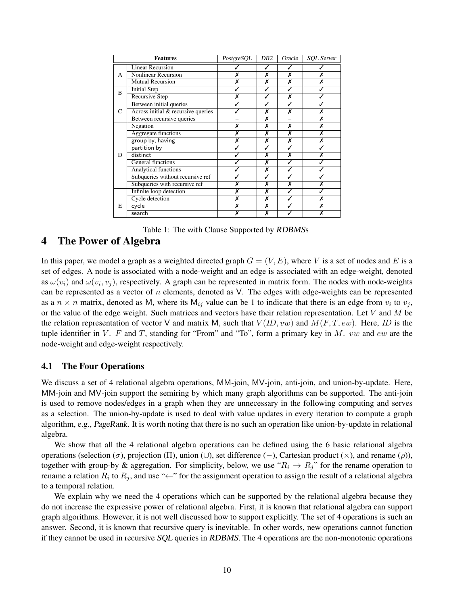| <b>Features</b> |                                    | PostgreSQL | DB2 | Oracle | <b>SOL</b> Server |
|-----------------|------------------------------------|------------|-----|--------|-------------------|
|                 | <b>Linear Recursion</b>            |            |     |        |                   |
| А               | Nonlinear Recursion                | Х          | Х   | Х      | Х                 |
|                 | <b>Mutual Recursion</b>            | X          | Х   | x      | Х                 |
| B               | <b>Initial Step</b>                |            | ✓   | ✓      |                   |
|                 | Recursive Step                     | X          |     | Х      |                   |
| $\mathsf{C}$    | Between initial queries            |            |     |        |                   |
|                 | Across initial & recursive queries |            | Х   | X      | Х                 |
|                 | Between recursive queries          |            | Х   |        | Х                 |
|                 | Negation                           | х          | Х   | Х      | Х                 |
| D               | Aggregate functions                | Х          | Х   | X      | Х                 |
|                 | group by, having                   | X          | Х   | Х      | Х                 |
|                 | partition by                       |            | J   |        |                   |
|                 | distinct                           |            | Х   | Х      | Х                 |
|                 | <b>General functions</b>           |            | Х   |        |                   |
|                 | <b>Analytical functions</b>        |            | Х   |        |                   |
|                 | Subqueries without recursive ref   |            | ✓   |        |                   |
|                 | Subqueries with recursive ref      |            | Х   | Х      | Х                 |
|                 | Infinite loop detection            | х          | Х   |        |                   |
|                 | <b>Cycle</b> detection             | Х          | X   |        | Х                 |
| E               | cycle                              | Х          | Х   |        | Х                 |
|                 | search                             |            | X   |        | Х                 |



### 4 The Power of Algebra

In this paper, we model a graph as a weighted directed graph  $G = (V, E)$ , where V is a set of nodes and E is a set of edges. A node is associated with a node-weight and an edge is associated with an edge-weight, denoted as  $\omega(v_i)$  and  $\omega(v_i, v_j)$ , respectively. A graph can be represented in matrix form. The nodes with node-weights can be represented as a vector of  $n$  elements, denoted as V. The edges with edge-weights can be represented as a  $n \times n$  matrix, denoted as M, where its  $M_{ij}$  value can be 1 to indicate that there is an edge from  $v_i$  to  $v_j$ , or the value of the edge weight. Such matrices and vectors have their relation representation. Let  $V$  and  $M$  be the relation representation of vector V and matrix M, such that  $V(ID, vw)$  and  $M(F, T, ew)$ . Here, *ID* is the tuple identifier in V. F and T, standing for "From" and "To", form a primary key in M. vw and ew are the node-weight and edge-weight respectively.

#### 4.1 The Four Operations

We discuss a set of 4 relational algebra operations, MM-join, MV-join, anti-join, and union-by-update. Here, MM-join and MV-join support the semiring by which many graph algorithms can be supported. The anti-join is used to remove nodes/edges in a graph when they are unnecessary in the following computing and serves as a selection. The union-by-update is used to deal with value updates in every iteration to compute a graph algorithm, e.g., PageRank. It is worth noting that there is no such an operation like union-by-update in relational algebra.

We show that all the 4 relational algebra operations can be defined using the 6 basic relational algebra operations (selection (σ), projection (Π), union (∪), set difference (−), Cartesian product (×), and rename (ρ)), together with group-by & aggregation. For simplicity, below, we use " $R_i \rightarrow R_j$ " for the rename operation to rename a relation  $R_i$  to  $R_j$ , and use " $\leftarrow$ " for the assignment operation to assign the result of a relational algebra to a temporal relation.

We explain why we need the 4 operations which can be supported by the relational algebra because they do not increase the expressive power of relational algebra. First, it is known that relational algebra can support graph algorithms. However, it is not well discussed how to support explicitly. The set of 4 operations is such an answer. Second, it is known that recursive query is inevitable. In other words, new operations cannot function if they cannot be used in recursive SQL queries in RDBMS. The 4 operations are the non-monotonic operations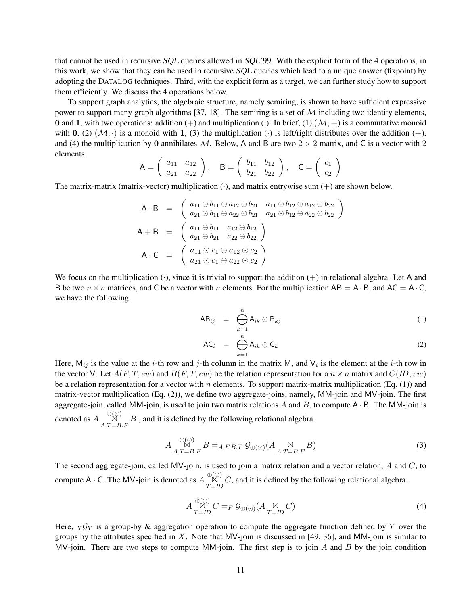that cannot be used in recursive SQL queries allowed in SQL'99. With the explicit form of the 4 operations, in this work, we show that they can be used in recursive SQL queries which lead to a unique answer (fixpoint) by adopting the DATALOG techniques. Third, with the explicit form as a target, we can further study how to support them efficiently. We discuss the 4 operations below.

To support graph analytics, the algebraic structure, namely semiring, is shown to have sufficient expressive power to support many graph algorithms [37, 18]. The semiring is a set of  $M$  including two identity elements, 0 and 1, with two operations: addition (+) and multiplication ( $\cdot$ ). In brief, (1) ( $\mathcal{M}, +$ ) is a commutative monoid with 0, (2)  $(M, \cdot)$  is a monoid with 1, (3) the multiplication ( $\cdot$ ) is left/right distributes over the addition (+), and (4) the multiplication by 0 annihilates M. Below, A and B are two  $2 \times 2$  matrix, and C is a vector with 2 elements.  $\mathcal{L}$ 

$$
A = \begin{pmatrix} a_{11} & a_{12} \\ a_{21} & a_{22} \end{pmatrix}, \quad B = \begin{pmatrix} b_{11} & b_{12} \\ b_{21} & b_{22} \end{pmatrix}, \quad C = \begin{pmatrix} c_1 \\ c_2 \end{pmatrix}
$$

The matrix-matrix (matrix-vector) multiplication  $(\cdot)$ , and matrix entrywise sum  $(+)$  are shown below.

$$
A \cdot B = \begin{pmatrix} a_{11} \odot b_{11} \oplus a_{12} \odot b_{21} & a_{11} \odot b_{12} \oplus a_{12} \odot b_{22} \\ a_{21} \odot b_{11} \oplus a_{22} \odot b_{21} & a_{21} \odot b_{12} \oplus a_{22} \odot b_{22} \end{pmatrix}
$$
  
\n
$$
A + B = \begin{pmatrix} a_{11} \oplus b_{11} & a_{12} \oplus b_{12} \\ a_{21} \oplus b_{21} & a_{22} \oplus b_{22} \end{pmatrix}
$$
  
\n
$$
A \cdot C = \begin{pmatrix} a_{11} \odot c_{1} \oplus a_{12} \odot c_{2} \\ a_{21} \odot c_{1} \oplus a_{22} \odot c_{2} \end{pmatrix}
$$

We focus on the multiplication  $(·)$ , since it is trivial to support the addition  $(+)$  in relational algebra. Let A and B be two  $n \times n$  matrices, and C be a vector with n elements. For the multiplication AB = A  $\cdot$  B, and AC = A  $\cdot$  C, we have the following.

$$
AB_{ij} = \bigoplus_{k=1}^{n} A_{ik} \odot B_{kj}
$$
 (1)

$$
AC_i = \bigoplus_{k=1}^n A_{ik} \odot C_k \tag{2}
$$

Here,  $M_{ij}$  is the value at the *i*-th row and *j*-th column in the matrix M, and  $V_i$  is the element at the *i*-th row in the vector V. Let  $A(F, T, ew)$  and  $B(F, T, ew)$  be the relation representation for a  $n \times n$  matrix and  $C(ID, vw)$ be a relation representation for a vector with n elements. To support matrix-matrix multiplication (Eq. (1)) and matrix-vector multiplication (Eq. (2)), we define two aggregate-joins, namely, MM-join and MV-join. The first aggregate-join, called MM-join, is used to join two matrix relations  $A$  and  $B$ , to compute  $A \cdot B$ . The MM-join is denoted as  $A \mathop{\otimes}^{(\odot)}_{A.T=B.F} B$ , and it is defined by the following relational algebra.

$$
A\underset{A.T=B.F}{\overset{\oplus(\odot)}{\mathbb{N}}}B =_{A.F,B.T}\mathcal{G}_{\oplus(\odot)}(A\underset{A.T=B.F}{\overset{\otimes}{\mathbb{N}}}B) \tag{3}
$$

The second aggregate-join, called MV-join, is used to join a matrix relation and a vector relation,  $A$  and  $C$ , to compute A  $\cdot$  C. The MV-join is denoted as  $A\overset{\oplus(\odot)}{X}C$ , and it is defined by the following relational algebra.

$$
A\overset{\oplus(\odot)}{N}C =_F \mathcal{G}_{\oplus(\odot)}(A \underset{T=ID}{\bowtie} C)
$$
\n(4)

Here,  $X\mathcal{G}_Y$  is a group-by & aggregation operation to compute the aggregate function defined by Y over the groups by the attributes specified in  $X$ . Note that MV-join is discussed in [49, 36], and MM-join is similar to MV-join. There are two steps to compute MM-join. The first step is to join  $A$  and  $B$  by the join condition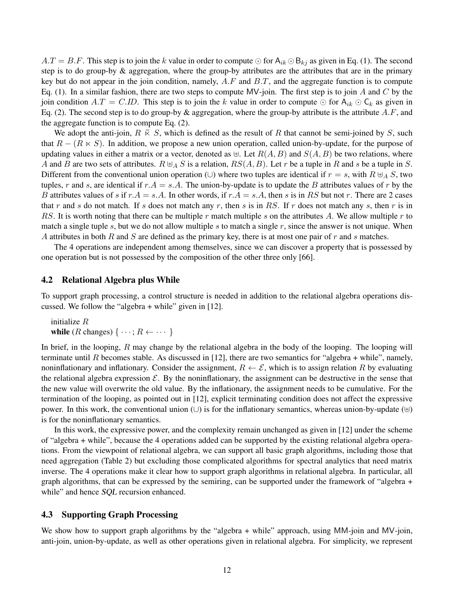$A.T = B.F$ . This step is to join the k value in order to compute  $\odot$  for  $A_{ik} \odot B_{kj}$  as given in Eq. (1). The second step is to do group-by & aggregation, where the group-by attributes are the attributes that are in the primary key but do not appear in the join condition, namely,  $A.F$  and  $B.T$ , and the aggregate function is to compute Eq. (1). In a similar fashion, there are two steps to compute MV-join. The first step is to join A and C by the join condition  $A.T = C.ID$ . This step is to join the k value in order to compute  $\odot$  for  $A_{ik} \odot C_k$  as given in Eq. (2). The second step is to do group-by & aggregation, where the group-by attribute is the attribute  $A.F$ , and the aggregate function is to compute Eq. (2).

We adopt the anti-join,  $R \times S$ , which is defined as the result of R that cannot be semi-joined by S, such that  $R - (R \times S)$ . In addition, we propose a new union operation, called union-by-update, for the purpose of updating values in either a matrix or a vector, denoted as  $\oplus$ . Let  $R(A, B)$  and  $S(A, B)$  be two relations, where A and B are two sets of attributes.  $R \oplus_A S$  is a relation,  $RS(A, B)$ . Let r be a tuple in R and s be a tuple in S. Different from the conventional union operation (∪) where two tuples are identical if  $r = s$ , with  $R \biguplus_i S$ , two tuples, r and s, are identical if  $r.A = s.A$ . The union-by-update is to update the B attributes values of r by the B attributes values of s if  $r.A = s.A$ . In other words, if  $r.A = s.A$ , then s is in RS but not r. There are 2 cases that r and s do not match. If s does not match any r, then s is in RS. If r does not match any s, then r is in RS. It is worth noting that there can be multiple r match multiple s on the attributes A. We allow multiple r to match a single tuple s, but we do not allow multiple s to match a single  $r$ , since the answer is not unique. When A attributes in both R and S are defined as the primary key, there is at most one pair of r and s matches.

The 4 operations are independent among themselves, since we can discover a property that is possessed by one operation but is not possessed by the composition of the other three only [66].

#### 4.2 Relational Algebra plus While

To support graph processing, a control structure is needed in addition to the relational algebra operations discussed. We follow the "algebra + while" given in [12].

initialize R while (*R* changes)  $\{ \cdots; R \leftarrow \cdots \}$ 

In brief, in the looping, R may change by the relational algebra in the body of the looping. The looping will terminate until R becomes stable. As discussed in [12], there are two semantics for "algebra + while", namely, noninflationary and inflationary. Consider the assignment,  $R \leftarrow \mathcal{E}$ , which is to assign relation R by evaluating the relational algebra expression  $\mathcal{E}$ . By the noninflationary, the assignment can be destructive in the sense that the new value will overwrite the old value. By the inflationary, the assignment needs to be cumulative. For the termination of the looping, as pointed out in [12], explicit terminating condition does not affect the expressive power. In this work, the conventional union (∪) is for the inflationary semantics, whereas union-by-update ( $\uplus$ ) is for the noninflationary semantics.

In this work, the expressive power, and the complexity remain unchanged as given in [12] under the scheme of "algebra + while", because the 4 operations added can be supported by the existing relational algebra operations. From the viewpoint of relational algebra, we can support all basic graph algorithms, including those that need aggregation (Table 2) but excluding those complicated algorithms for spectral analytics that need matrix inverse. The 4 operations make it clear how to support graph algorithms in relational algebra. In particular, all graph algorithms, that can be expressed by the semiring, can be supported under the framework of "algebra + while" and hence SQL recursion enhanced.

#### 4.3 Supporting Graph Processing

We show how to support graph algorithms by the "algebra + while" approach, using MM-join and MV-join, anti-join, union-by-update, as well as other operations given in relational algebra. For simplicity, we represent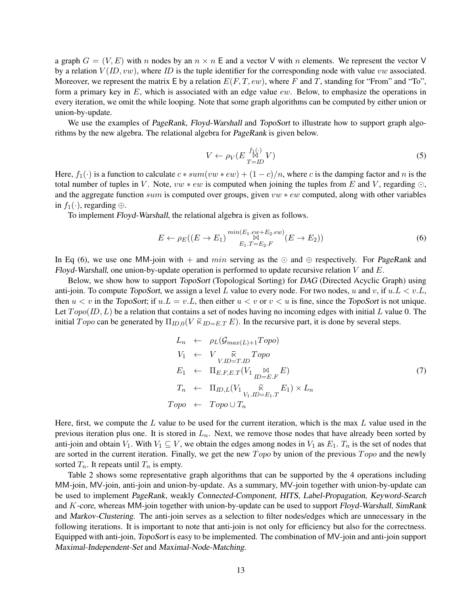a graph  $G = (V, E)$  with n nodes by an  $n \times n$  E and a vector V with n elements. We represent the vector V by a relation  $V(ID, vw)$ , where *ID* is the tuple identifier for the corresponding node with value vw associated. Moreover, we represent the matrix E by a relation  $E(F, T, ew)$ , where F and T, standing for "From" and "To", form a primary key in  $E$ , which is associated with an edge value ew. Below, to emphasize the operations in every iteration, we omit the while looping. Note that some graph algorithms can be computed by either union or union-by-update.

We use the examples of *PageRank, Floyd-Warshall* and *TopoSort* to illustrate how to support graph algorithms by the new algebra. The relational algebra for PageRank is given below.

$$
V \leftarrow \rho_V (E \frac{f_1(\cdot)}{T = ID} V) \tag{5}
$$

Here,  $f_1(\cdot)$  is a function to calculate  $c * sum(vw * ew) + (1 - c)/n$ , where c is the damping factor and n is the total number of tuples in V. Note,  $vw * ew$  is computed when joining the tuples from E and V, regarding  $\odot$ , and the aggregate function sum is computed over groups, given  $vw * ew$  computed, along with other variables in  $f_1(\cdot)$ , regarding  $\oplus$ .

To implement Floyd-Warshall, the relational algebra is given as follows.

$$
E \leftarrow \rho_E((E \to E_1) \frac{\min(E_1, e_w + E_2, ev)}{E_1 \cdot T = E_2 \cdot F}(E \to E_2))
$$
\n
$$
(6)
$$

In Eq (6), we use one MM-join with  $+$  and min serving as the  $\odot$  and  $\oplus$  respectively. For PageRank and Floyd-Warshall, one union-by-update operation is performed to update recursive relation V and  $E$ .

Below, we show how to support TopoSort (Topological Sorting) for DAG (Directed Acyclic Graph) using anti-join. To compute TopoSort, we assign a level L value to every node. For two nodes, u and v, if  $u.L < v.L$ , then  $u < v$  in the TopoSort; if  $u.L = v.L$ , then either  $u < v$  or  $v < u$  is fine, since the TopoSort is not unique. Let  $Topo(ID, L)$  be a relation that contains a set of nodes having no incoming edges with initial L value 0. The initial Topo can be generated by  $\Pi_{ID,0}(V \times_{ID=E,T} E)$ . In the recursive part, it is done by several steps.

$$
L_n \leftarrow \rho_L(\mathcal{G}_{max(L)+1} \text{Topo})
$$
  
\n
$$
V_1 \leftarrow V \underset{V.ID = T.ID}{\bar{\kappa}} \text{Topo}
$$
  
\n
$$
E_1 \leftarrow \Pi_{E.F, E.T}(V_1 \underset{ID=E.F}{\bowtie} E)
$$
  
\n
$$
T_n \leftarrow \Pi_{ID,L}(V_1 \underset{V_1.ID = E_1.T}{\bar{\kappa}} E_1) \times L_n
$$
  
\n*Topo* \leftarrow *Topo* \cup T\_n

Here, first, we compute the  $L$  value to be used for the current iteration, which is the max  $L$  value used in the previous iteration plus one. It is stored in  $L_n$ . Next, we remove those nodes that have already been sorted by anti-join and obtain  $V_1$ . With  $V_1 \subseteq V$ , we obtain the edges among nodes in  $V_1$  as  $E_1$ .  $T_n$  is the set of nodes that are sorted in the current iteration. Finally, we get the new  $Topo$  by union of the previous  $Topo$  and the newly sorted  $T_n$ . It repeats until  $T_n$  is empty.

Table 2 shows some representative graph algorithms that can be supported by the 4 operations including MM-join, MV-join, anti-join and union-by-update. As a summary, MV-join together with union-by-update can be used to implement PageRank, weakly Connected-Component, HITS, Label-Propagation, Keyword-Search and K-core, whereas MM-join together with union-by-update can be used to support Floyd-Warshall, SimRank and Markov-Clustering. The anti-join serves as a selection to filter nodes/edges which are unnecessary in the following iterations. It is important to note that anti-join is not only for efficiency but also for the correctness. Equipped with anti-join, TopoSort is easy to be implemented. The combination of MV-join and anti-join support Maximal-Independent-Set and Maximal-Node-Matching.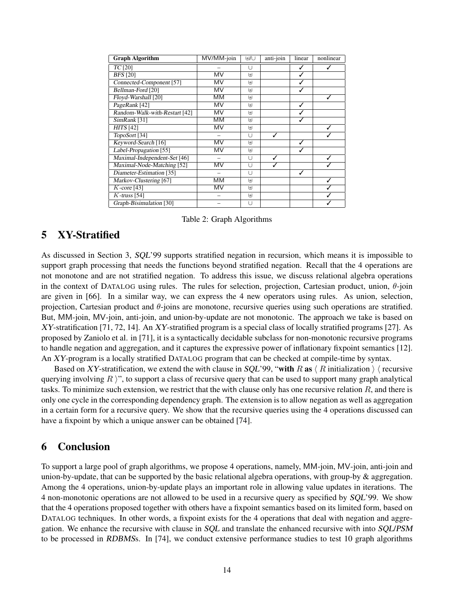| <b>Graph Algorithm</b>        | MV/MM-join | ⊎/∪                | anti-join | linear       | nonlinear |
|-------------------------------|------------|--------------------|-----------|--------------|-----------|
| $TC$ [20]                     |            | U                  |           | $\checkmark$ |           |
| <b>BFS</b> [20]               | MV         | $\left  + \right $ |           | ✓            |           |
| Connected-Component [57]      | MV         | $\left  + \right $ |           | √            |           |
| Bellman-Ford [20]             | MV         | $\downarrow$       |           |              |           |
| Floyd-Warshall [20]           | MМ         | $\left  + \right $ |           |              |           |
| PageRank [42]                 | MV         | $\downarrow$       |           | ✓            |           |
| Random-Walk-with-Restart [42] | MV         | $\downarrow$       |           | ✓            |           |
| SimRank [31]                  | MМ         | $\left  + \right $ |           |              |           |
| HITS [42]                     | MV         | $\biguplus$        |           |              |           |
| TopoSort [34]                 |            | U                  | ✓         |              |           |
| Keyword-Search [16]           | MV         | $\left  + \right $ |           |              |           |
| Label-Propagation [55]        | MV         | $\downarrow$       |           |              |           |
| Maximal-Independent-Set [46]  |            | U                  | ✓         |              |           |
| Maximal-Node-Matching [52]    | MV         | U                  | ✓         |              |           |
| Diameter-Estimation [35]      |            | Ū                  |           | ✓            |           |
| Markov-Clustering [67]        | MМ         | $\left  + \right $ |           |              |           |
| $K$ -core [43]                | MV         | $\downarrow$       |           |              |           |
| $K$ -truss [54]               |            | $\biguplus$        |           |              |           |
| Graph-Bisimulation [30]       |            | U                  |           |              |           |

Table 2: Graph Algorithms

# 5 XY-Stratified

As discussed in Section 3, SQL'99 supports stratified negation in recursion, which means it is impossible to support graph processing that needs the functions beyond stratified negation. Recall that the 4 operations are not monotone and are not stratified negation. To address this issue, we discuss relational algebra operations in the context of DATALOG using rules. The rules for selection, projection, Cartesian product, union,  $\theta$ -join are given in [66]. In a similar way, we can express the 4 new operators using rules. As union, selection, projection, Cartesian product and  $\theta$ -joins are monotone, recursive queries using such operations are stratified. But, MM-join, MV-join, anti-join, and union-by-update are not monotonic. The approach we take is based on XY-stratification [71, 72, 14]. An XY-stratified program is a special class of locally stratified programs [27]. As proposed by Zaniolo et al. in [71], it is a syntactically decidable subclass for non-monotonic recursive programs to handle negation and aggregation, and it captures the expressive power of inflationary fixpoint semantics [12]. An XY-program is a locally stratified DATALOG program that can be checked at compile-time by syntax.

Based on XY-stratification, we extend the with clause in SQL'99, "with R as  $\langle R \rangle$  initialization  $\rangle$  recursive querying involving R  $\gamma$ ", to support a class of recursive query that can be used to support many graph analytical tasks. To minimize such extension, we restrict that the with clause only has one recursive relation  $R$ , and there is only one cycle in the corresponding dependency graph. The extension is to allow negation as well as aggregation in a certain form for a recursive query. We show that the recursive queries using the 4 operations discussed can have a fixpoint by which a unique answer can be obtained [74].

### 6 Conclusion

To support a large pool of graph algorithms, we propose 4 operations, namely, MM-join, MV-join, anti-join and union-by-update, that can be supported by the basic relational algebra operations, with group-by & aggregation. Among the 4 operations, union-by-update plays an important role in allowing value updates in iterations. The 4 non-monotonic operations are not allowed to be used in a recursive query as specified by SQL'99. We show that the 4 operations proposed together with others have a fixpoint semantics based on its limited form, based on DATALOG techniques. In other words, a fixpoint exists for the 4 operations that deal with negation and aggregation. We enhance the recursive with clause in SQL and translate the enhanced recursive with into SQL/PSM to be processed in RDBMSs. In [74], we conduct extensive performance studies to test 10 graph algorithms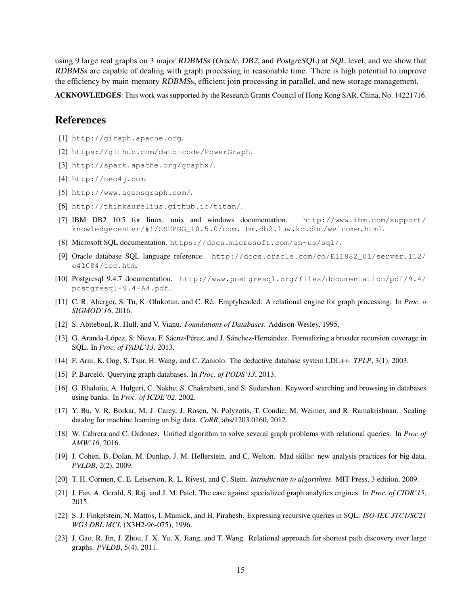using 9 large real graphs on 3 major RDBMSs (Oracle, DB2, and PostgreSQL) at SQL level, and we show that RDBMSs are capable of dealing with graph processing in reasonable time. There is high potential to improve the efficiency by main-memory RDBMSs, efficient join processing in parallel, and new storage management.

ACKNOWLEDGES: This work was supported by the Research Grants Council of Hong Kong SAR, China, No. 14221716.

### References

- [1] http://giraph.apache.org.
- [2] https://github.com/dato-code/PowerGraph.
- [3] http://spark.apache.org/graphx/.
- [4] http://neo4j.com.
- [5] http://www.agensgraph.com/.
- [6] http://thinkaurelius.github.io/titan/.
- [7] IBM DB2 10.5 for linux, unix and windows documentation. http://www.ibm.com/support/ knowledgecenter/#!/SSEPGG\_10.5.0/com.ibm.db2.luw.kc.doc/welcome.html.
- [8] Microsoft SQL documentation. https://docs.microsoft.com/en-us/sql/.
- [9] Oracle database SQL language reference. http://docs.oracle.com/cd/E11882\_01/server.112/ e41084/toc.htm.
- [10] Postgresql 9.4.7 documentation. http://www.postgresql.org/files/documentation/pdf/9.4/ postgresql-9.4-A4.pdf.
- [11] C. R. Aberger, S. Tu, K. Olukotun, and C. Re. Emptyheaded: A relational engine for graph processing. In ´ *Proc. o SIGMOD'16*, 2016.
- [12] S. Abiteboul, R. Hull, and V. Vianu. *Foundations of Databases*. Addison-Wesley, 1995.
- [13] G. Aranda-López, S. Nieva, F. Sáenz-Pérez, and J. Sánchez-Hernández. Formalizing a broader recursion coverage in SQL. In *Proc. of PADL'13*, 2013.
- [14] F. Arni, K. Ong, S. Tsur, H. Wang, and C. Zaniolo. The deductive database system LDL++. *TPLP*, 3(1), 2003.
- [15] P. Barceló. Querying graph databases. In *Proc. of PODS'13*, 2013.
- [16] G. Bhalotia, A. Hulgeri, C. Nakhe, S. Chakrabarti, and S. Sudarshan. Keyword searching and browsing in databases using banks. In *Proc. of ICDE'02*, 2002.
- [17] Y. Bu, V. R. Borkar, M. J. Carey, J. Rosen, N. Polyzotis, T. Condie, M. Weimer, and R. Ramakrishnan. Scaling datalog for machine learning on big data. *CoRR*, abs/1203.0160, 2012.
- [18] W. Cabrera and C. Ordonez. Unified algorithm to solve several graph problems with relational queries. In *Proc of AMW'16*, 2016.
- [19] J. Cohen, B. Dolan, M. Dunlap, J. M. Hellerstein, and C. Welton. Mad skills: new analysis practices for big data. *PVLDB*, 2(2), 2009.
- [20] T. H. Cormen, C. E. Leiserson, R. L. Rivest, and C. Stein. *Introduction to algorithms*. MIT Press, 3 edition, 2009.
- [21] J. Fan, A. Gerald, S. Raj, and J. M. Patel. The case against specialized graph analytics engines. In *Proc. of CIDR'15*, 2015.
- [22] S. J. Finkelstein, N. Mattos, I. Mumick, and H. Pirahesh. Expressing recursive queries in SQL. *ISO-IEC JTC1/SC21 WG3 DBL MCI*, (X3H2-96-075), 1996.
- [23] J. Gao, R. Jin, J. Zhou, J. X. Yu, X. Jiang, and T. Wang. Relational approach for shortest path discovery over large graphs. *PVLDB*, 5(4), 2011.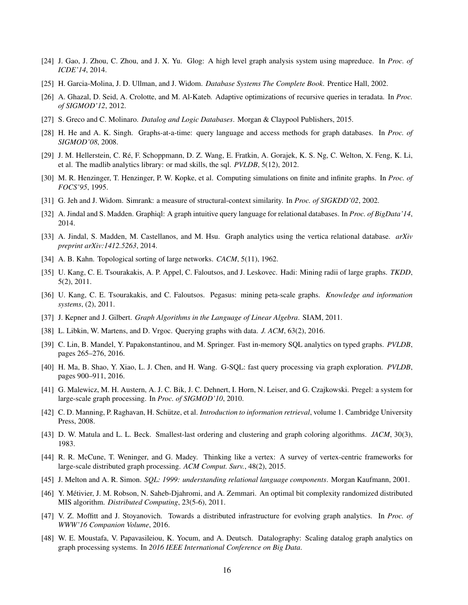- [24] J. Gao, J. Zhou, C. Zhou, and J. X. Yu. Glog: A high level graph analysis system using mapreduce. In *Proc. of ICDE'14*, 2014.
- [25] H. Garcia-Molina, J. D. Ullman, and J. Widom. *Database Systems The Complete Book*. Prentice Hall, 2002.
- [26] A. Ghazal, D. Seid, A. Crolotte, and M. Al-Kateb. Adaptive optimizations of recursive queries in teradata. In *Proc. of SIGMOD'12*, 2012.
- [27] S. Greco and C. Molinaro. *Datalog and Logic Databases*. Morgan & Claypool Publishers, 2015.
- [28] H. He and A. K. Singh. Graphs-at-a-time: query language and access methods for graph databases. In *Proc. of SIGMOD'08*, 2008.
- [29] J. M. Hellerstein, C. Re, F. Schoppmann, D. Z. Wang, E. Fratkin, A. Gorajek, K. S. Ng, C. Welton, X. Feng, K. Li, ´ et al. The madlib analytics library: or mad skills, the sql. *PVLDB*, 5(12), 2012.
- [30] M. R. Henzinger, T. Henzinger, P. W. Kopke, et al. Computing simulations on finite and infinite graphs. In *Proc. of FOCS'95*, 1995.
- [31] G. Jeh and J. Widom. Simrank: a measure of structural-context similarity. In *Proc. of SIGKDD'02*, 2002.
- [32] A. Jindal and S. Madden. Graphiql: A graph intuitive query language for relational databases. In *Proc. of BigData'14*, 2014.
- [33] A. Jindal, S. Madden, M. Castellanos, and M. Hsu. Graph analytics using the vertica relational database. *arXiv preprint arXiv:1412.5263*, 2014.
- [34] A. B. Kahn. Topological sorting of large networks. *CACM*, 5(11), 1962.
- [35] U. Kang, C. E. Tsourakakis, A. P. Appel, C. Faloutsos, and J. Leskovec. Hadi: Mining radii of large graphs. *TKDD*, 5(2), 2011.
- [36] U. Kang, C. E. Tsourakakis, and C. Faloutsos. Pegasus: mining peta-scale graphs. *Knowledge and information systems*, (2), 2011.
- [37] J. Kepner and J. Gilbert. *Graph Algorithms in the Language of Linear Algebra*. SIAM, 2011.
- [38] L. Libkin, W. Martens, and D. Vrgoc. Querying graphs with data. *J. ACM*, 63(2), 2016.
- [39] C. Lin, B. Mandel, Y. Papakonstantinou, and M. Springer. Fast in-memory SQL analytics on typed graphs. *PVLDB*, pages 265–276, 2016.
- [40] H. Ma, B. Shao, Y. Xiao, L. J. Chen, and H. Wang. G-SQL: fast query processing via graph exploration. *PVLDB*, pages 900–911, 2016.
- [41] G. Malewicz, M. H. Austern, A. J. C. Bik, J. C. Dehnert, I. Horn, N. Leiser, and G. Czajkowski. Pregel: a system for large-scale graph processing. In *Proc. of SIGMOD'10*, 2010.
- [42] C. D. Manning, P. Raghavan, H. Schütze, et al. *Introduction to information retrieval*, volume 1. Cambridge University Press, 2008.
- [43] D. W. Matula and L. L. Beck. Smallest-last ordering and clustering and graph coloring algorithms. *JACM*, 30(3), 1983.
- [44] R. R. McCune, T. Weninger, and G. Madey. Thinking like a vertex: A survey of vertex-centric frameworks for large-scale distributed graph processing. *ACM Comput. Surv.*, 48(2), 2015.
- [45] J. Melton and A. R. Simon. *SQL: 1999: understanding relational language components*. Morgan Kaufmann, 2001.
- [46] Y. Metivier, J. M. Robson, N. Saheb-Djahromi, and A. Zemmari. An optimal bit complexity randomized distributed ´ MIS algorithm. *Distributed Computing*, 23(5-6), 2011.
- [47] V. Z. Moffitt and J. Stoyanovich. Towards a distributed infrastructure for evolving graph analytics. In *Proc. of WWW'16 Companion Volume*, 2016.
- [48] W. E. Moustafa, V. Papavasileiou, K. Yocum, and A. Deutsch. Datalography: Scaling datalog graph analytics on graph processing systems. In *2016 IEEE International Conference on Big Data*.